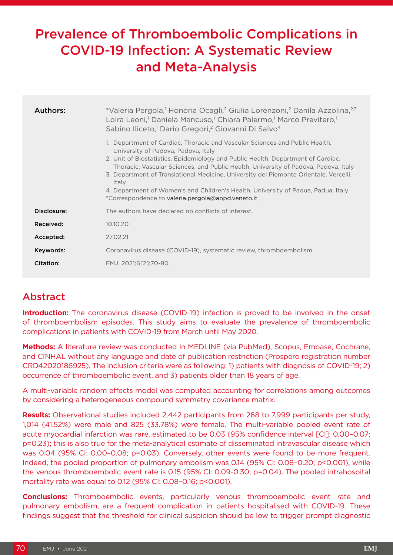# Prevalence of Thromboembolic Complications in COVID-19 Infection: A Systematic Review and Meta-Analysis

| Authors:    | *Valeria Pergola,1 Honoria Ocagli,2 Giulia Lorenzoni,2 Danila Azzolina, 2,3<br>Loira Leoni, <sup>1</sup> Daniela Mancuso, <sup>1</sup> Chiara Palermo, <sup>1</sup> Marco Previtero, <sup>1</sup><br>Sabino Iliceto, <sup>1</sup> Dario Gregori, <sup>2</sup> Giovanni Di Salvo <sup>4</sup>                                                                                                                                                                                                                                              |  |  |  |  |  |  |
|-------------|-------------------------------------------------------------------------------------------------------------------------------------------------------------------------------------------------------------------------------------------------------------------------------------------------------------------------------------------------------------------------------------------------------------------------------------------------------------------------------------------------------------------------------------------|--|--|--|--|--|--|
|             | 1. Department of Cardiac, Thoracic and Vascular Sciences and Public Health,<br>University of Padova, Padova, Italy<br>2. Unit of Biostatistics, Epidemiology and Public Health, Department of Cardiac,<br>Thoracic, Vascular Sciences, and Public Health, University of Padova, Padova, Italy<br>3. Department of Translational Medicine, University del Piemonte Orientale, Vercelli,<br>Italy<br>4. Department of Women's and Children's Health, University of Padua, Padua, Italy<br>*Correspondence to valeria.pergola@aopd.veneto.it |  |  |  |  |  |  |
| Disclosure: | The authors have declared no conflicts of interest.                                                                                                                                                                                                                                                                                                                                                                                                                                                                                       |  |  |  |  |  |  |
| Received:   | 10.10.20                                                                                                                                                                                                                                                                                                                                                                                                                                                                                                                                  |  |  |  |  |  |  |
| Accepted:   | 27.02.21                                                                                                                                                                                                                                                                                                                                                                                                                                                                                                                                  |  |  |  |  |  |  |
| Keywords:   | Coronavirus disease (COVID-19), systematic review, thromboembolism.                                                                                                                                                                                                                                                                                                                                                                                                                                                                       |  |  |  |  |  |  |
| Citation:   | EMJ. 2021;6[2]:70-80.                                                                                                                                                                                                                                                                                                                                                                                                                                                                                                                     |  |  |  |  |  |  |

## Abstract

**Introduction:** The coronavirus disease (COVID-19) infection is proved to be involved in the onset of thromboembolism episodes. This study aims to evaluate the prevalence of thromboembolic complications in patients with COVID-19 from March until May 2020.

**Methods:** A literature review was conducted in MEDLINE (via PubMed), Scopus, Embase, Cochrane, and CINHAL without any language and date of publication restriction (Prospero registration number CRD42020186925). The inclusion criteria were as following: 1) patients with diagnosis of COVID-19; 2) occurrence of thromboembolic event, and 3) patients older than 18 years of age.

A multi-variable random effects model was computed accounting for correlations among outcomes by considering a heterogeneous compound symmetry covariance matrix.

**Results:** Observational studies included 2,442 participants from 268 to 7,999 participants per study, 1,014 (41.52%) were male and 825 (33.78%) were female. The multi-variable pooled event rate of acute myocardial infarction was rare, estimated to be 0.03 (95% confidence interval [CI]: 0.00–0.07; p=0.23); this is also true for the meta-analytical estimate of disseminated intravascular disease which was 0.04 (95% CI: 0.00–0.08; p=0.03). Conversely, other events were found to be more frequent. Indeed, the pooled proportion of pulmonary embolism was 0.14 (95% CI: 0.08–0.20; p<0.001), while the venous thromboembolic event rate is 0.15 (95% CI: 0.09-0.30; p=0.04). The pooled intrahospital mortality rate was equal to 0.12 (95% CI: 0.08–0.16; p<0.001).

**Conclusions:** Thromboembolic events, particularly venous thromboembolic event rate and pulmonary embolism, are a frequent complication in patients hospitalised with COVID-19. These findings suggest that the threshold for clinical suspicion should be low to trigger prompt diagnostic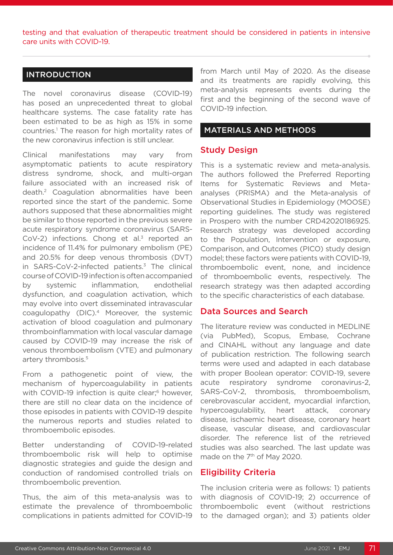testing and that evaluation of therapeutic treatment should be considered in patients in intensive care units with COVID-19.

#### INTRODUCTION

The novel coronavirus disease (COVID-19) has posed an unprecedented threat to global healthcare systems. The case fatality rate has been estimated to be as high as 15% in some countries.1 The reason for high mortality rates of the new coronavirus infection is still unclear.

Clinical manifestations may vary from asymptomatic patients to acute respiratory distress syndrome, shock, and multi-organ failure associated with an increased risk of death.2 Coagulation abnormalities have been reported since the start of the pandemic. Some authors supposed that these abnormalities might be similar to those reported in the previous severe acute respiratory syndrome coronavirus (SARS-CoV-2) infections. Chong et al.<sup>3</sup> reported an incidence of 11.4% for pulmonary embolism (PE) and 20.5% for deep venous thrombosis (DVT) in SARS-CoV-2-infected patients. $3$  The clinical course of COVID-19 infection is often accompanied by systemic inflammation, endothelial dysfunction, and coagulation activation, which may evolve into overt disseminated intravascular coagulopathy (DIC).4 Moreover, the systemic activation of blood coagulation and pulmonary thromboinflammation with local vascular damage caused by COVID-19 may increase the risk of venous thromboembolism (VTE) and pulmonary artery thrombosis.5

From a pathogenetic point of view, the mechanism of hypercoagulability in patients with COVID-19 infection is quite clear;<sup>6</sup> however, there are still no clear data on the incidence of those episodes in patients with COVID-19 despite the numerous reports and studies related to thromboembolic episodes.

Better understanding of COVID-19-related thromboembolic risk will help to optimise diagnostic strategies and guide the design and conduction of randomised controlled trials on thromboembolic prevention.

Thus, the aim of this meta-analysis was to estimate the prevalence of thromboembolic complications in patients admitted for COVID-19 from March until May of 2020. As the disease and its treatments are rapidly evolving, this meta-analysis represents events during the first and the beginning of the second wave of COVID-19 infection.

#### MATERIALS AND METHODS

#### Study Design

This is a systematic review and meta-analysis. The authors followed the Preferred Reporting Items for Systematic Reviews and Metaanalyses (PRISMA) and the Meta-analysis of Observational Studies in Epidemiology (MOOSE) reporting guidelines. The study was registered in Prospero with the number CRD42020186925. Research strategy was developed according to the Population, Intervention or exposure, Comparison, and Outcomes (PICO) study design model; these factors were patients with COVID-19, thromboembolic event, none, and incidence of thromboembolic events, respectively. The research strategy was then adapted according to the specific characteristics of each database.

#### Data Sources and Search

The literature review was conducted in MEDLINE (via PubMed), Scopus, Embase, Cochrane and CINAHL without any language and date of publication restriction. The following search terms were used and adapted in each database with proper Boolean operator: COVID-19, severe acute respiratory syndrome coronavirus-2, SARS-CoV-2, thrombosis, thromboembolism, cerebrovascular accident, myocardial infarction, hypercoagulability, heart attack, coronary disease, ischaemic heart disease, coronary heart disease, vascular disease, and cardiovascular disorder. The reference list of the retrieved studies was also searched. The last update was made on the 7<sup>th</sup> of May 2020.

#### Eligibility Criteria

The inclusion criteria were as follows: 1) patients with diagnosis of COVID-19; 2) occurrence of thromboembolic event (without restrictions to the damaged organ); and 3) patients older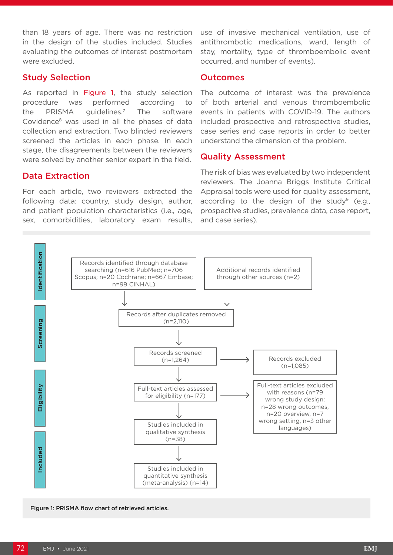than 18 years of age. There was no restriction in the design of the studies included. Studies evaluating the outcomes of interest postmortem were excluded.

#### Study Selection

As reported in Figure 1, the study selection procedure was performed according to the PRISMA guidelines.7 The software Covidence8 was used in all the phases of data collection and extraction. Two blinded reviewers screened the articles in each phase. In each stage, the disagreements between the reviewers were solved by another senior expert in the field.

#### Data Extraction

For each article, two reviewers extracted the following data: country, study design, author, and patient population characteristics (i.e., age, sex, comorbidities, laboratory exam results,

use of invasive mechanical ventilation, use of antithrombotic medications, ward, length of stay, mortality, type of thromboembolic event occurred, and number of events).

#### **Outcomes**

The outcome of interest was the prevalence of both arterial and venous thromboembolic events in patients with COVID-19. The authors included prospective and retrospective studies, case series and case reports in order to better understand the dimension of the problem.

#### Quality Assessment

The risk of bias was evaluated by two independent reviewers. The Joanna Briggs Institute Critical Appraisal tools were used for quality assessment, according to the design of the study<sup>9</sup> (e.g., prospective studies, prevalence data, case report, and case series).



Figure 1: PRISMA flow chart of retrieved articles.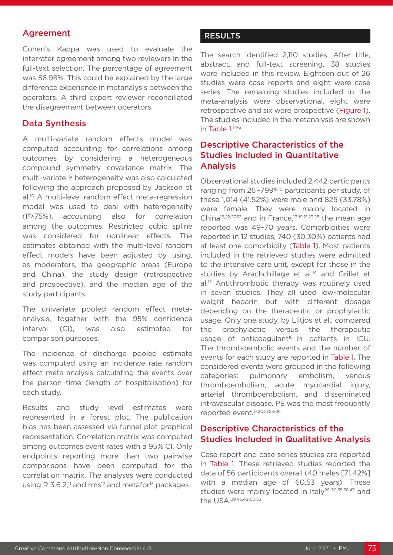#### Agreement

Cohen's Kappa was used to evaluate the interrater agreement among two reviewers in the full-text selection. The percentage of agreement was 56.98%. This could be explained by the large difference experience in metanalysis between the operators. A third expert reviewer reconciliated the disagreement between operators.

#### Data Synthesis

A multi-variate random effects model was computed accounting for correlations among outcomes by considering a heterogeneous compound symmetry covariance matrix. The multi-variate I2 heterogeneity was also calculated following the approach proposed by Jackson et al.<sup>10</sup> A multi-level random effect meta-regression model was used to deal with heterogeneity  $(1<sup>2</sup>>75%)$ , accounting also for correlation among the outcomes. Restricted cubic spline was considered for nonlinear effects. The estimates obtained with the multi-level random effect models have been adjusted by using, as moderators, the geographic areas (Europe and China), the study design (retrospective and prospective), and the median age of the study participants.

The univariate pooled random effect metaanalysis, together with the 95% confidence interval (CI), was also estimated for comparison purposes.

The incidence of discharge pooled estimate was computed using an incidence rate random effect meta-analysis calculating the events over the person time (length of hospitalisation) for each study.

Results and study level estimates were represented in a forest plot. The publication bias has been assessed via funnel plot graphical representation. Correlation matrix was computed among outcomes event rates with a 95% CI. Only endpoints reporting more than two pairwise comparisons have been computed for the correlation matrix. The analyses were conducted using R 3.6.2, $\mu$  and rms<sup>12</sup> and metafor<sup>13</sup> packages.

#### **RESULTS**

The search identified 2,110 studies. After title, abstract, and full-text screening, 38 studies were included in this review. Eighteen out of 26 studies were case reports and eight were case series. The remaining studies included in the meta-analysis were observational, eight were retrospective and six were prospective (Figure 1). The studies included in the metanalysis are shown in Table 1.<sup>14-51</sup>

## Descriptive Characteristics of the Studies Included in Quantitative Analysis

Observational studies included 2,442 participants ranging from 26-799<sup>18,16</sup> participants per study, of these 1,014 (41.52%) were male and 825 (33.78%) were female. They were mainly located in China16,22,27,52 and in France,17-19,21,23,25 the mean age reported was 49–70 years. Comorbidities were reported in 12 studies, 740 (30.30%) patients had at least one comorbidity (Table 1). Most patients included in the retrieved studies were admitted to the intensive care unit, except for those in the studies by Arachchillage et al.<sup>14</sup> and Grillet et al.<sup>17</sup> Antithrombotic therapy was routinely used in seven studies. They all used low-molecular weight heparin but with different dosage depending on the therapeutic or prophylactic usage. Only one study, by Llitjos et al., compared the prophylactic versus the therapeutic usage of anticoagulant $18$  in patients in ICU. The thromboembolic events and the number of events for each study are reported in Table 1. The considered events were grouped in the following categories: pulmonary embolism, venous thromboembolism, acute myocardial injury, arterial thromboembolism, and disseminated intravascular disease. PE was the most frequently reported event.17,20,21,23-26

## Descriptive Characteristics of the Studies Included in Qualitative Analysis

Case report and case series studies are reported in Table 1. These retrieved studies reported the data of 56 participants overall (40 males [71.42%] with a median age of 60.53 years). These studies were mainly located in Italy<sup>28-30,35,38,47</sup> and the USA.39,43,48-50,53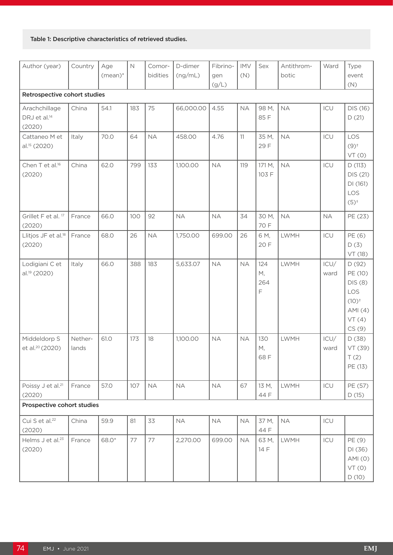#### Table 1: Descriptive characteristics of retrieved studies.

| Author (year)                                       | Country          | Age<br>$(mean)*$ | $\mathbb N$ | Comor-<br>bidities | D-dimer<br>(ng/mL) | Fibrino-<br>gen<br>(g/L) | <b>IMV</b><br>(N) | Sex                             | Antithrom-<br>botic | Ward         | Type<br>event<br>(N)                                                         |
|-----------------------------------------------------|------------------|------------------|-------------|--------------------|--------------------|--------------------------|-------------------|---------------------------------|---------------------|--------------|------------------------------------------------------------------------------|
| Retrospective cohort studies                        |                  |                  |             |                    |                    |                          |                   |                                 |                     |              |                                                                              |
| Arachchillage<br>DRJ et al. <sup>14</sup><br>(2020) | China            | 54.1             | 183         | 75                 | 66,000.00          | 4.55                     | <b>NA</b>         | 98 M,<br>85F                    | <b>NA</b>           | ICU          | DIS (16)<br>D(21)                                                            |
| Cattaneo M et<br>al. <sup>15</sup> (2020)           | Italy            | 70.0             | 64          | <b>NA</b>          | 458.00             | 4.76                     | 11                | 35 M,<br>29 F                   | <b>NA</b>           | ICU          | LOS<br>$(9)^{+}$<br>VT(0)                                                    |
| Chen T et al. <sup>16</sup><br>(2020)               | China            | 62.0             | 799         | 133                | 1,100.00           | <b>NA</b>                | 119               | 171 M,<br>103 F                 | <b>NA</b>           | ICU          | D(113)<br>DIS (21)<br>DI (161)<br>LOS<br>$(5)^{+}$                           |
| Grillet F et al. 17<br>(2020)                       | France           | 66.0             | 100         | 92                 | <b>NA</b>          | <b>NA</b>                | 34                | 30 M,<br>70 F                   | <b>NA</b>           | <b>NA</b>    | PE (23)                                                                      |
| Llitjos JF et al. <sup>18</sup><br>(2020)           | France           | 68.0             | 26          | <b>NA</b>          | 1,750.00           | 699.00                   | 26                | 6 M,<br>20 F                    | <b>LWMH</b>         | ICU          | PE (6)<br>D(3)<br>VT (18)                                                    |
| Lodigiani C et<br>al. <sup>19</sup> (2020)          | Italy            | 66.0             | 388         | 183                | 5,633.07           | <b>NA</b>                | <b>NA</b>         | 124<br>М,<br>264<br>$\mathsf F$ | <b>LWMH</b>         | ICU/<br>ward | D(92)<br>PE (10)<br>DIS (8)<br>LOS<br>$(10)^{+}$<br>AMI(4)<br>VT(4)<br>CS(9) |
| Middeldorp S<br>et al. <sup>20</sup> (2020)         | Nether-<br>lands | 61.0             | 173         | 18                 | 1,100.00           | <b>NA</b>                | <b>NA</b>         | 130<br>М,<br>68 F               | <b>LWMH</b>         | ICU/<br>ward | D(38)<br>VT (39)<br>T(2)<br>PE (13)                                          |
| Poissy J et al. <sup>21</sup><br>(2020)             | France           | 57.0             | 107         | NA                 | <b>NA</b>          | <b>NA</b>                | 67                | 13 M,<br>44 F                   | <b>LWMH</b>         | ICU          | PE (57)<br>D(15)                                                             |
| Prospective cohort studies                          |                  |                  |             |                    |                    |                          |                   |                                 |                     |              |                                                                              |
| Cui S et al. <sup>22</sup><br>(2020)                | China            | 59.9             | 81          | 33                 | <b>NA</b>          | <b>NA</b>                | <b>NA</b>         | 37 M,<br>44 F                   | <b>NA</b>           | ICU          |                                                                              |
| Helms J et al. <sup>23</sup><br>(2020)              | France           | 68.0*            | 77          | 77                 | 2,270.00           | 699.00                   | <b>NA</b>         | 63 M,<br>14 F                   | LWMH                | ICU          | PE (9)<br>DI (36)<br>AMI(0)<br>VT(0)<br>D(10)                                |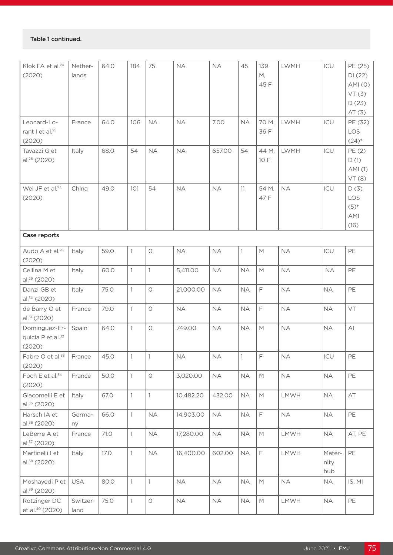| Klok FA et al. <sup>24</sup><br>(2020)                   | Nether-<br>lands | 64.0 | 184          | 75           | NA        | <b>NA</b> | 45           | 139<br>М,<br>45 F                                                                                          | <b>LWMH</b> | ICU                   | PE (25)<br>DI(22)<br>AMI(0)<br>VT(3)<br>D(23)<br>AT(3) |
|----------------------------------------------------------|------------------|------|--------------|--------------|-----------|-----------|--------------|------------------------------------------------------------------------------------------------------------|-------------|-----------------------|--------------------------------------------------------|
| Leonard-Lo-<br>rant I et al. <sup>25</sup><br>(2020)     | France           | 64.0 | 106          | <b>NA</b>    | <b>NA</b> | 7.00      | <b>NA</b>    | 70 M,<br>36 F                                                                                              | <b>LWMH</b> | ICU                   | PE (32)<br>LOS<br>$(24)^{+}$                           |
| Tavazzi G et<br>al. <sup>26</sup> (2020)                 | Italy            | 68.0 | 54           | <b>NA</b>    | <b>NA</b> | 657.00    | 54           | 44 M,<br>10 F                                                                                              | <b>LWMH</b> | ICU                   | PE (2)<br>D(1)<br>AMI (1)<br>VT(8)                     |
| Wei JF et al. <sup>27</sup><br>(2020)                    | China            | 49.0 | 101          | 54           | <b>NA</b> | <b>NA</b> | 11           | 54 M,<br>47 F                                                                                              | <b>NA</b>   | ICU                   | D(3)<br>LOS<br>$(5)^{+}$<br><b>AMI</b><br>(16)         |
| Case reports                                             |                  |      |              |              |           |           |              |                                                                                                            |             |                       |                                                        |
| Audo A et al. <sup>28</sup><br>(2020)                    | Italy            | 59.0 | $\mathbf{1}$ | $\bigcirc$   | <b>NA</b> | <b>NA</b> | $\mathbf{1}$ | $\mathsf{M}% _{T}=\mathsf{M}_{T}\!\left( a,b\right) ,\ \mathsf{M}_{T}=\mathsf{M}_{T}\!\left( a,b\right) ,$ | <b>NA</b>   | ICU                   | PE                                                     |
| Cellina M et<br>al. <sup>29</sup> (2020)                 | Italy            | 60.0 | $\mathbf{1}$ | $\mathbf{1}$ | 5,411.00  | <b>NA</b> | <b>NA</b>    | M                                                                                                          | <b>NA</b>   | <b>NA</b>             | PE                                                     |
| Danzi GB et<br>al. <sup>30</sup> (2020)                  | Italy            | 75.0 | $\mathbf{1}$ | $\bigcirc$   | 21,000.00 | <b>NA</b> | <b>NA</b>    | F                                                                                                          | <b>NA</b>   | <b>NA</b>             | PE                                                     |
| de Barry O et<br>al.31 (2020)                            | France           | 79.0 | $\mathbf{1}$ | $\circ$      | <b>NA</b> | <b>NA</b> | <b>NA</b>    | F                                                                                                          | <b>NA</b>   | <b>NA</b>             | VT                                                     |
| Dominguez-Er-<br>quicia P et al. <sup>32</sup><br>(2020) | Spain            | 64.0 | $\mathbf{1}$ | $\bigcirc$   | 749.00    | <b>NA</b> | <b>NA</b>    | M                                                                                                          | <b>NA</b>   | <b>NA</b>             | $\mathsf{A}$                                           |
| Fabre O et al. <sup>33</sup> France<br>(2020)            |                  | 45.0 |              | $\mathbf{1}$ | <b>NA</b> | $\sf NA$  | $\vert$ 1    | F.                                                                                                         | <b>NA</b>   | ICU                   | $\mathsf{PE}$                                          |
| Foch E et al. <sup>34</sup><br>(2020)                    | France           | 50.0 | $\mathbf{1}$ | $\bigcirc$   | 3,020.00  | <b>NA</b> | <b>NA</b>    | $\mathsf{M}$                                                                                               | <b>NA</b>   | <b>NA</b>             | PE                                                     |
| Giacomelli E et<br>al. <sup>35</sup> (2020)              | Italy            | 67.0 | $\mathbf{1}$ | $\mathbf{1}$ | 10,482.20 | 432.00    | <b>NA</b>    | M                                                                                                          | LMWH        | <b>NA</b>             | $\mathsf{AT}$                                          |
| Harsch IA et<br>al. <sup>36</sup> (2020)                 | Germa-<br>ny     | 66.0 | $\mathbb{1}$ | <b>NA</b>    | 14,903.00 | <b>NA</b> | $\sf NA$     | F                                                                                                          | NA          | <b>NA</b>             | PE                                                     |
| LeBerre A et<br>$al.^{37}$ (2020)                        | France           | 71.0 | $\mathbf{1}$ | NA           | 17,280.00 | <b>NA</b> | <b>NA</b>    | M                                                                                                          | LMWH        | <b>NA</b>             | AT, PE                                                 |
| Martinelli I et<br>al. <sup>38</sup> (2020)              | Italy            | 17.0 | $\mathbf{1}$ | <b>NA</b>    | 16,400.00 | 602.00    | <b>NA</b>    | F                                                                                                          | LMWH        | Mater-<br>nity<br>hub | PE                                                     |
| Moshayedi P et<br>al. <sup>39</sup> (2020)               | <b>USA</b>       | 80.0 | $\mathbf{1}$ | $\mathbf{1}$ | NA        | <b>NA</b> | <b>NA</b>    | M                                                                                                          | NA          | <b>NA</b>             | IS, MI                                                 |
| Rotzinger DC<br>et al. <sup>40</sup> (2020)              | Switzer-<br>land | 75.0 | $\mathbf{1}$ | $\bigcirc$   | NA        | NA        | NA           | M                                                                                                          | LMWH        | <b>NA</b>             | PE                                                     |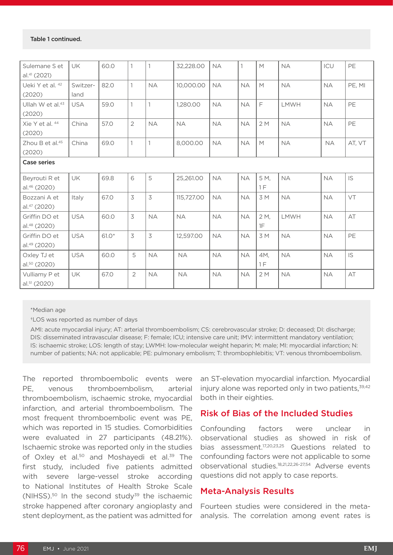| Sulemane S et<br>al. <sup>41</sup> (2021) | <b>UK</b>        | 60.0    |                | $\mathbf{1}$   | 32,228.00  | <b>NA</b> |           | M          | <b>NA</b>   | ICU       | PE     |
|-------------------------------------------|------------------|---------|----------------|----------------|------------|-----------|-----------|------------|-------------|-----------|--------|
| Ueki Y et al. 42<br>(2020)                | Switzer-<br>land | 82.0    |                | <b>NA</b>      | 10,000.00  | <b>NA</b> | <b>NA</b> | M          | <b>NA</b>   | <b>NA</b> | PE, MI |
| Ullah W et al. <sup>43</sup><br>(2020)    | <b>USA</b>       | 59.0    | $\mathbf{1}$   | $\mathbf{1}$   | 1,280.00   | <b>NA</b> | <b>NA</b> | E          | <b>LMWH</b> | <b>NA</b> | PE     |
| Xie Y et al. 44<br>(2020)                 | China            | 57.0    | $\overline{2}$ | <b>NA</b>      | <b>NA</b>  | <b>NA</b> | <b>NA</b> | 2M         | <b>NA</b>   | <b>NA</b> | PE     |
| Zhou B et al. <sup>45</sup><br>(2020)     | China            | 69.0    |                | $\mathbf{1}$   | 8,000.00   | <b>NA</b> | <b>NA</b> | M          | <b>NA</b>   | <b>NA</b> | AT, VT |
| <b>Case series</b>                        |                  |         |                |                |            |           |           |            |             |           |        |
| Beyrouti R et<br>al. <sup>46</sup> (2020) | UK               | 69.8    | 6              | 5              | 25,261.00  | <b>NA</b> | <b>NA</b> | 5 M,<br>1F | <b>NA</b>   | <b>NA</b> | IS     |
| Bozzani A et<br>al. <sup>47</sup> (2020)  | Italy            | 67.0    | 3              | $\overline{3}$ | 115,727.00 | <b>NA</b> | <b>NA</b> | 3M         | <b>NA</b>   | <b>NA</b> | VT     |
| Griffin DO et<br>al. <sup>48</sup> (2020) | <b>USA</b>       | 60.0    | 3              | <b>NA</b>      | <b>NA</b>  | <b>NA</b> | <b>NA</b> | 2 M,<br>1F | <b>LMWH</b> | <b>NA</b> | AT     |
| Griffin DO et<br>al. <sup>49</sup> (2020) | <b>USA</b>       | $61.0*$ | $\overline{3}$ | 3              | 12,597.00  | <b>NA</b> | <b>NA</b> | 3 M        | <b>NA</b>   | <b>NA</b> | PE     |
| Oxley TJ et<br>al.50 (2020)               | <b>USA</b>       | 60.0    | 5              | <b>NA</b>      | <b>NA</b>  | <b>NA</b> | <b>NA</b> | 4M,<br>1F  | <b>NA</b>   | <b>NA</b> | IS     |
| Vulliamy P et<br>al.51 (2020)             | <b>UK</b>        | 67.0    | $\overline{2}$ | <b>NA</b>      | <b>NA</b>  | <b>NA</b> | <b>NA</b> | 2M         | <b>NA</b>   | <b>NA</b> | AT     |

\*Median age

†LOS was reported as number of days

AMI: acute myocardial injury; AT: arterial thromboembolism; CS: cerebrovascular stroke; D: deceased; DI: discharge; DIS: disseminated intravascular disease; F: female; ICU; intensive care unit; IMV: intermittent mandatory ventilation; IS: ischaemic stroke; LOS: length of stay; LWMH: low-molecular weight heparin; M: male; MI: myocardial infarction; N: number of patients; NA: not applicable; PE: pulmonary embolism; T: thrombophlebitis; VT: venous thromboembolism.

The reported thromboembolic events were PE, venous thromboembolism, arterial thromboembolism, ischaemic stroke, myocardial infarction, and arterial thromboembolism. The most frequent thromboembolic event was PE, which was reported in 15 studies. Comorbidities were evaluated in 27 participants (48.21%). Ischaemic stroke was reported only in the studies of Oxley et al.<sup>50</sup> and Moshayedi et al.<sup>39</sup> The first study, included five patients admitted with severe large-vessel stroke according to National Institutes of Health Stroke Scale (NIHSS).<sup>50</sup> In the second study<sup>39</sup> the ischaemic stroke happened after coronary angioplasty and stent deployment, as the patient was admitted for

an ST-elevation myocardial infarction. Myocardial injury alone was reported only in two patients,  $39,42$ both in their eighties.

## Risk of Bias of the Included Studies

Confounding factors were unclear in observational studies as showed in risk of bias assessment.17,20,23,25 Questions related to confounding factors were not applicable to some observational studies.18,21,22,26-27,54 Adverse events questions did not apply to case reports.

#### Meta-Analysis Results

Fourteen studies were considered in the metaanalysis. The correlation among event rates is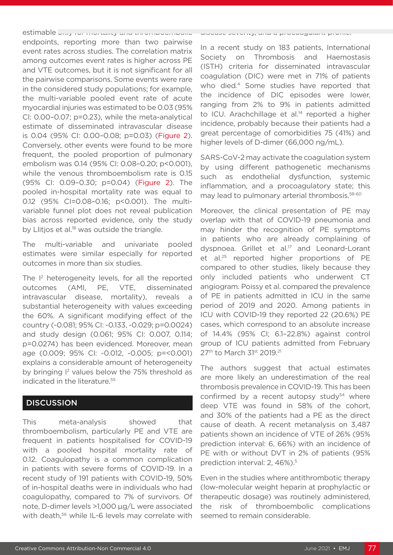estimable only for mortality and thromboembolic endpoints, reporting more than two pairwise event rates across studies. The correlation matrix among outcomes event rates is higher across PE and VTE outcomes, but it is not significant for all the pairwise comparisons. Some events were rare in the considered study populations; for example, the multi-variable pooled event rate of acute myocardial injuries was estimated to be 0.03 (95% CI: 0.00–0.07; p=0.23), while the meta-analytical estimate of disseminated intravascular disease is 0.04 (95% CI: 0.00–0.08; p=0.03) (Figure 2). Conversely, other events were found to be more frequent, the pooled proportion of pulmonary embolism was 0.14 (95% CI: 0.08–0.20; p<0.001), while the venous thromboembolism rate is 0.15 (95% CI: 0.09–0.30; p=0.04) (Figure 2). The pooled in-hospital mortality rate was equal to 0.12 (95% CI=0.08–0.16; p<0.001). The multivariable funnel plot does not reveal publication bias across reported evidence, only the study by Llitjos et al.<sup>18</sup> was outside the triangle.

The multi-variable and univariate pooled estimates were similar especially for reported outcomes in more than six studies.

The I<sup>2</sup> heterogeneity levels, for all the reported outcomes (AMI, PE, VTE, disseminated intravascular disease, mortality), reveals a substantial heterogeneity with values exceeding the 60%. A significant modifying effect of the country (-0.081; 95% CI: -0.133, -0.029; p=0.0024) and study design (0.061; 95% CI: 0.007, 0.114; p=0.0274) has been evidenced. Moreover, mean age (0.009; 95% CI: -0.012, -0.005; p=<0.001) explains a considerable amount of heterogeneity by bringing  $I^2$  values below the 75% threshold as indicated in the literature.<sup>55</sup>

#### **DISCUSSION**

This meta-analysis showed that thromboembolism, particularly PE and VTE are frequent in patients hospitalised for COVID-19 with a pooled hospital mortality rate of 0.12. Coagulopathy is a common complication in patients with severe forms of COVID-19. In a recent study of 191 patients with COVID-19, 50% of in-hospital deaths were in individuals who had coagulopathy, compared to 7% of survivors. Of note, D-dimer levels >1,000 μg/L were associated with death,<sup>56</sup> while IL-6 levels may correlate with

#### disease severity, and a procoagulant profile.6,57

In a recent study on 183 patients, International Society on Thrombosis and Haemostasis (ISTH) criteria for disseminated intravascular coagulation (DIC) were met in 71% of patients who died.<sup>4</sup> Some studies have reported that the incidence of DIC episodes were lower, ranging from 2% to 9% in patients admitted to ICU. Arachchillage et al.<sup>14</sup> reported a higher incidence, probably because their patients had a great percentage of comorbidities 75 (41%) and higher levels of D-dimer (66,000 ng/mL).

SARS-CoV-2 may activate the coagulation system by using different pathogenetic mechanisms such as endothelial dysfunction, systemic inflammation, and a procoagulatory state; this may lead to pulmonary arterial thrombosis.58-60

Moreover, the clinical presentation of PE may overlap with that of COVID-19 pneumonia and may hinder the recognition of PE symptoms in patients who are already complaining of dyspnoea. Grillet et al.<sup>17</sup> and Leonard-Lorant et al.25 reported higher proportions of PE compared to other studies, likely because they only included patients who underwent CT angiogram. Poissy et al. compared the prevalence of PE in patients admitted in ICU in the same period of 2019 and 2020. Among patients in ICU with COVID-19 they reported 22 (20.6%) PE cases, which correspond to an absolute increase of 14.4% (95% CI; 6.1–22.8%) against control group of ICU patients admitted from February 27<sup>th</sup> to March 31<sup>st</sup> 2019.<sup>21</sup>

The authors suggest that actual estimates are more likely an underestimation of the real thrombosis prevalence in COVID-19. This has been confirmed by a recent autopsy study<sup>54</sup> where deep VTE was found in 58% of the cohort, and 30% of the patients had a PE as the direct cause of death. A recent metanalysis on 3,487 patients shown an incidence of VTE of 26% (95% prediction interval: 6, 66%) with an incidence of PE with or without DVT in 2% of patients (95% prediction interval: 2, 46%).<sup>5</sup>

Even in the studies where antithrombotic therapy (low-molecular weight heparin at prophylactic or therapeutic dosage) was routinely administered, the risk of thromboembolic complications seemed to remain considerable.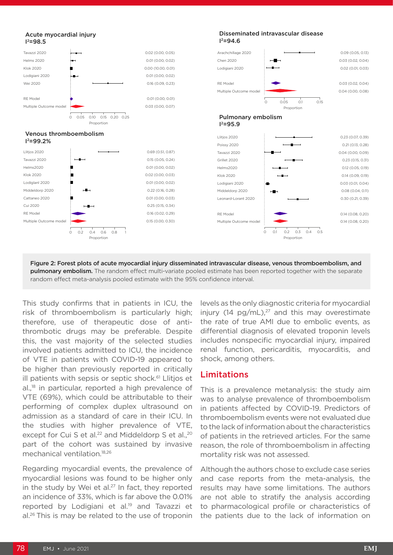

Figure 2: Forest plots of acute myocardial injury disseminated intravascular disease, venous thromboembolism, and **pulmonary embolism.** The random effect multi-variate pooled estimate has been reported together with the separate random effect meta-analysis pooled estimate with the 95% confidence interval.

This study confirms that in patients in ICU, the risk of thromboembolism is particularly high; therefore, use of therapeutic dose of antithrombotic drugs may be preferable. Despite this, the vast majority of the selected studies involved patients admitted to ICU, the incidence of VTE in patients with COVID-19 appeared to be higher than previously reported in critically ill patients with sepsis or septic shock. $61$  Llitjos et al.<sup>18</sup> in particular, reported a high prevalence of VTE (69%), which could be attributable to their performing of complex duplex ultrasound on admission as a standard of care in their ICU. In the studies with higher prevalence of VTE, except for Cui S et al.<sup>22</sup> and Middeldorp S et al.,<sup>20</sup> part of the cohort was sustained by invasive mechanical ventilation.18,26

Regarding myocardial events, the prevalence of myocardial lesions was found to be higher only in the study by Wei et al. $27$  In fact, they reported an incidence of 33%, which is far above the 0.01% reported by Lodigiani et al.19 and Tavazzi et al.26 This is may be related to the use of troponin

levels as the only diagnostic criteria for myocardial injury (14  $pq/mL$ ),<sup>27</sup> and this may overestimate the rate of true AMI due to embolic events, as differential diagnosis of elevated troponin levels includes nonspecific myocardial injury, impaired renal function, pericarditis, myocarditis, and shock, among others.

#### Limitations

This is a prevalence metanalysis: the study aim was to analyse prevalence of thromboembolism in patients affected by COVID-19. Predictors of thromboembolism events were not evaluated due to the lack of information about the characteristics of patients in the retrieved articles. For the same reason, the role of thromboembolism in affecting mortality risk was not assessed.

Although the authors chose to exclude case series and case reports from the meta-analysis, the results may have some limitations. The authors are not able to stratify the analysis according to pharmacological profile or characteristics of the patients due to the lack of information on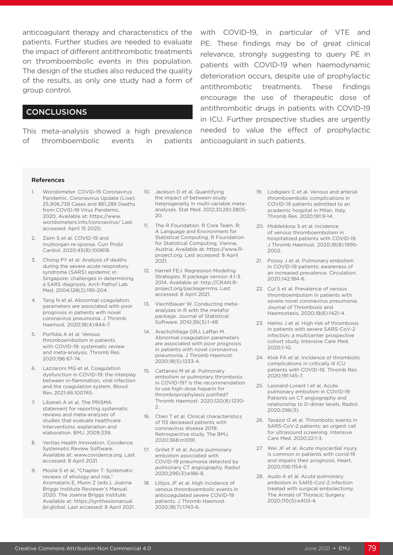anticoagulant therapy and characteristics of the patients. Further studies are needed to evaluate the impact of different antithrombotic treatments on thromboembolic events in this population. The design of the studies also reduced the quality of the results, as only one study had a form of group control.

#### CONCLUSIONS

This meta-analysis showed a high prevalence of thromboembolic events in patients

with COVID-19, in particular of VTE and PE. These findings may be of great clinical relevance, strongly suggesting to query PE in patients with COVID-19 when haemodynamic deterioration occurs, despite use of prophylactic antithrombotic treatments. These findings encourage the use of therapeutic dose of antithrombotic drugs in patients with COVID-19 in ICU. Further prospective studies are urgently needed to value the effect of prophylactic anticoagulant in such patients.

#### References

- 1. Worldometer. COVID-19 Coronavirus Pandemic. Coronavirus Update (Live): 25,906,739 Cases and 861,289 Deaths from COVID-19 Virus Pandemic. 2020. Available at: https://www. worldometers.info/coronavirus/ Last accessed: April 15 2020.
- 2. Zaim S et al. COVID-19 and multiorgan re-sponse. Curr Probl Cardiol. 2020;45(8):100618.
- 3. Chong PY et al. Analysis of deaths during the severe acute respiratory syndrome (SARS) epidemic in Singapore: challenges in determining a SARS diagnosis. Arch Pathol Lab Med. 2004;128(2):195-204.
- 4. Tang N et al. Abnormal coagulation parameters are associated with poor prognosis in patients with novel coronavirus pneumonia. J Thromb Haemost. 2020;18(4):844-7.
- 5. Porfidia A et al. Venous thromboembolism in patients with COVID-19: systematic review and meta-analysis. Thromb Res. 2020;196:67-74.
- 6. Lazzaroni MG et al. Coagulation dysfunction in COVID-19: the interplay between in-flammation, viral infection and the coagulation system. Blood Rev. 2021;46:100745.
- 7. Liberati A et al. The PRISMA statement for reporting systematic reviews and meta-analyses of studies that evaluate healthcare interventions: explanation and elaboration. BMJ. 2009;339.
- 8. Veritas Health Innovation. Covidence Systematic Review Software. Available at: www.covidence.org. Last accessed: 8 April 2021.
- 9. Moola S et al, "Chapter 7: Systematic reviews of etiology and risk, Aromataris E, Munn Z (eds.), Joanna Briggs Institute Reviewer's Manual. 2020. The Joanna Briggs Institute. Available at: https://synthesismanual. jbi.global. Last accessed: 8 April 2021.
- 10. Jackson D et al. Quantifying the impact of between-study heterogeneity in multi-variable metaanalyses. Stat Med. 2012;31(29):3805-  $20.$
- 11. The R Foundation. R Core Team. R: A Language and Environment for Statistical Computing. R Foundation for Statistical Computing, Vienna, Austria. Available at: https://www.Rproject.org. Last accessed: 8 April 2021.
- 12. Harrell FEJ. Regression Modeling Strategies. R package version 4.1-3. 2014. Available at: http://CRAN.Rproject.org/package=rms. Last accessed: 8 April 2021.
- 13. Viechtbauer W. Conducting metaanalyses in R with the metafor package. Journal of Statistical Software. 2010;36(3):1-48.
- 14. Arachchillage DRJ, Laffan M. Abnormal coagulation parameters are associated with poor prognosis in patients with novel coronavirus pneumonia. J Thromb Haemost. 2020;18(5):1233-4.
- 15. Cattaneo M et al. Pulmonary embolism or pulmonary thrombosis in COVID-19? Is the recommendation to use high-dose heparin for thromboprophylaxis justified? Thromb Haemost. 2020;120(8):1230- 2.
- 16. Chen T et al. Clinical characteristics of 113 deceased patients with coronavirus disease 2019: Retrospective study. The BMJ. 2020;368:m1091.
- 17. Grillet F et al. Acute pulmonary embolism associated with COVID-19 pneumonia detected by pulmonary CT angiography. Radiol. 2020;296(3):e186-8.
- 18. Llitios JF et al. High incidence of venous thromboembolic events in anticoagulated severe COVID-19 patients. J Thromb Haemost. 2020;18(7):1743-6.
- 19. Lodigiani C et al. Venous and arterial thromboembolic complications in COVID-19 patients admitted to an academic hospital in Milan, Italy. Thromb Res. 2020;191:9-14.
- 20. Middeldorp S et al. Incidence of venous thromboembolism in hospitalized patients with COVID-19. J Thromb Haemost. 2020;18(8):1995- 2002.
- 21. Poissy J et al. Pulmonary embolism in COVID-19 patients: awareness of an increased prevalence. Circulation. 2020;142:184-6.
- 22. Cui S et al. Prevalence of venous thromboembolism in patients with severe novel coronavirus pneumonia. Journal of Thrombosis and Haemostasis. 2020;18(6):1421-4.
- 23. Helms J et al. High risk of thrombosis in patients with severe SARS-CoV-2 infection: a multicenter prospective cohort study. Intensive Care Med. 2020;1-10.
- 24. Klok FA et al. Incidence of thrombotic complications in critically ill ICU patients with COVID-19. Thromb Res. 2020;191:145-7.
- 25. Leonard-Lorant I et al. Acute pulmonary embolism in COVID-19 Patients on CT angiography and relationship to D-dimer levels. Radiol. 2020;296(3).
- 26. Tavazzi G et al. Thrombotic events in SARS-CoV-2 patients: an urgent call for ultrasound screening. Intensive Care Med. 2020;22:1-3.
- 27. Wei JF et al. Acute myocardial injury is common in patients with covid-19 and impairs their prognosis. Heart. 2020;106:1154-9.
- 28. Audo A et al. Acute pulmonary embolism in SARS-CoV-2 infection treated with surgical embolectomy. The Annals of Thoracic Surgery. 2020;110(5):e403-4.